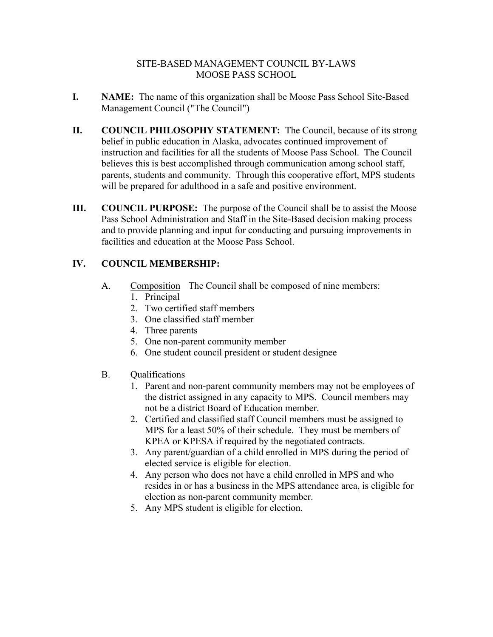#### SITE-BASED MANAGEMENT COUNCIL BY-LAWS MOOSE PASS SCHOOL

- **I. NAME:** The name of this organization shall be Moose Pass School Site-Based Management Council ("The Council")
- **II. COUNCIL PHILOSOPHY STATEMENT:** The Council, because of its strong belief in public education in Alaska, advocates continued improvement of instruction and facilities for all the students of Moose Pass School. The Council believes this is best accomplished through communication among school staff, parents, students and community. Through this cooperative effort, MPS students will be prepared for adulthood in a safe and positive environment.
- **III. COUNCIL PURPOSE:** The purpose of the Council shall be to assist the Moose Pass School Administration and Staff in the Site-Based decision making process and to provide planning and input for conducting and pursuing improvements in facilities and education at the Moose Pass School.

### **IV. COUNCIL MEMBERSHIP:**

- A. Composition The Council shall be composed of nine members:
	- 1. Principal
	- 2. Two certified staff members
	- 3. One classified staff member
	- 4. Three parents
	- 5. One non-parent community member
	- 6. One student council president or student designee
- B. Qualifications
	- 1. Parent and non-parent community members may not be employees of the district assigned in any capacity to MPS. Council members may not be a district Board of Education member.
	- 2. Certified and classified staff Council members must be assigned to MPS for a least 50% of their schedule. They must be members of KPEA or KPESA if required by the negotiated contracts.
	- 3. Any parent/guardian of a child enrolled in MPS during the period of elected service is eligible for election.
	- 4. Any person who does not have a child enrolled in MPS and who resides in or has a business in the MPS attendance area, is eligible for election as non-parent community member.
	- 5. Any MPS student is eligible for election.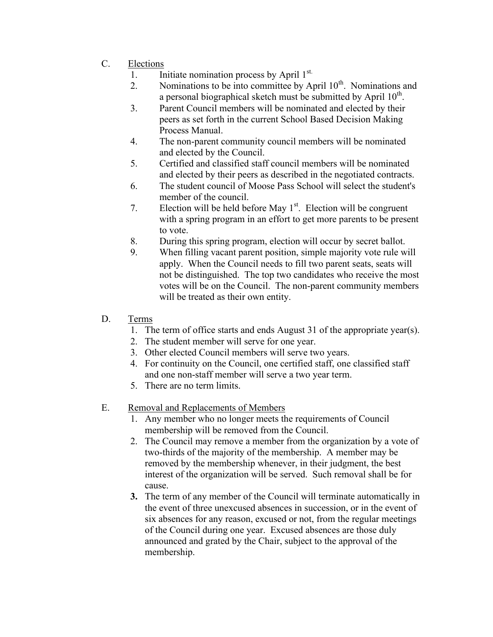- C. Elections
	- 1. Initiate nomination process by April  $1<sup>st.</sup>$
	- 2. Nominations to be into committee by April  $10<sup>th</sup>$ . Nominations and a personal biographical sketch must be submitted by April  $10^{th}$ .
	- 3. Parent Council members will be nominated and elected by their peers as set forth in the current School Based Decision Making Process Manual.
	- 4. The non-parent community council members will be nominated and elected by the Council.
	- 5. Certified and classified staff council members will be nominated and elected by their peers as described in the negotiated contracts.
	- 6. The student council of Moose Pass School will select the student's member of the council.
	- 7. Election will be held before May  $1<sup>st</sup>$ . Election will be congruent with a spring program in an effort to get more parents to be present to vote.
	- 8. During this spring program, election will occur by secret ballot.
	- 9. When filling vacant parent position, simple majority vote rule will apply. When the Council needs to fill two parent seats, seats will not be distinguished. The top two candidates who receive the most votes will be on the Council. The non-parent community members will be treated as their own entity.
- D. Terms
	- 1. The term of office starts and ends August 31 of the appropriate year(s).
	- 2. The student member will serve for one year.
	- 3. Other elected Council members will serve two years.
	- 4. For continuity on the Council, one certified staff, one classified staff and one non-staff member will serve a two year term.
	- 5. There are no term limits.
- E. Removal and Replacements of Members
	- 1. Any member who no longer meets the requirements of Council membership will be removed from the Council.
	- 2. The Council may remove a member from the organization by a vote of two-thirds of the majority of the membership. A member may be removed by the membership whenever, in their judgment, the best interest of the organization will be served. Such removal shall be for cause.
	- **3.** The term of any member of the Council will terminate automatically in the event of three unexcused absences in succession, or in the event of six absences for any reason, excused or not, from the regular meetings of the Council during one year. Excused absences are those duly announced and grated by the Chair, subject to the approval of the membership.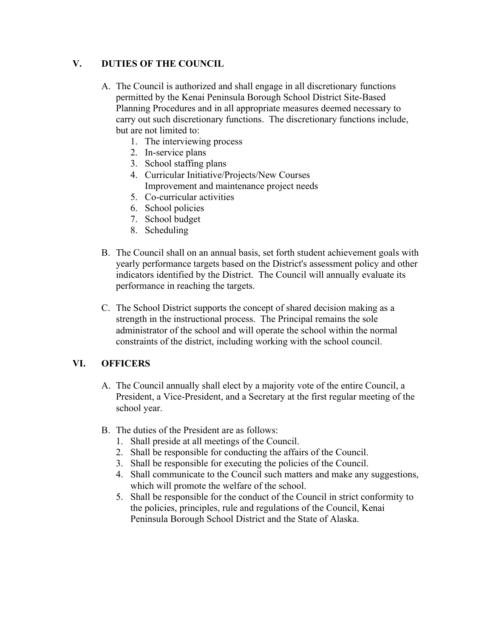#### **V. DUTIES OF THE COUNCIL**

- A. The Council is authorized and shall engage in all discretionary functions permitted by the Kenai Peninsula Borough School District Site-Based Planning Procedures and in all appropriate measures deemed necessary to carry out such discretionary functions. The discretionary functions include, but are not limited to:
	- 1. The interviewing process
	- 2. In-service plans
	- 3. School staffing plans
	- 4. Curricular Initiative/Projects/New Courses Improvement and maintenance project needs
	- 5. Co-curricular activities
	- 6. School policies
	- 7. School budget
	- 8. Scheduling
- B. The Council shall on an annual basis, set forth student achievement goals with yearly performance targets based on the District's assessment policy and other indicators identified by the District. The Council will annually evaluate its performance in reaching the targets.
- C. The School District supports the concept of shared decision making as a strength in the instructional process. The Principal remains the sole administrator of the school and will operate the school within the normal constraints of the district, including working with the school council.

# **VI. OFFICERS**

- A. The Council annually shall elect by a majority vote of the entire Council, a President, a Vice-President, and a Secretary at the first regular meeting of the school year.
- B. The duties of the President are as follows:
	- 1. Shall preside at all meetings of the Council.
	- 2. Shall be responsible for conducting the affairs of the Council.
	- 3. Shall be responsible for executing the policies of the Council.
	- 4. Shall communicate to the Council such matters and make any suggestions, which will promote the welfare of the school.
	- 5. Shall be responsible for the conduct of the Council in strict conformity to the policies, principles, rule and regulations of the Council, Kenai Peninsula Borough School District and the State of Alaska.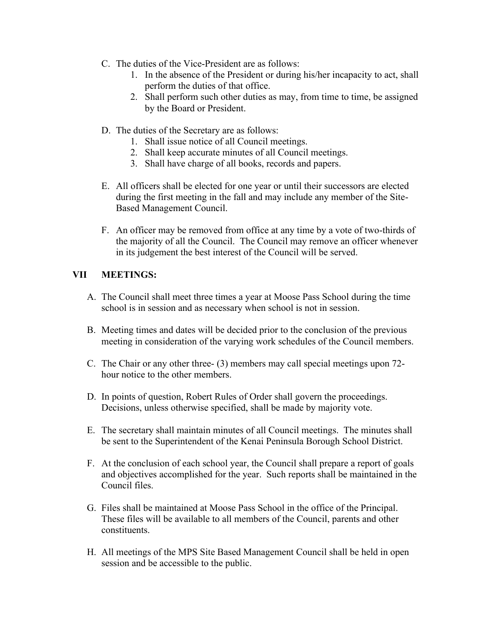- C. The duties of the Vice-President are as follows:
	- 1. In the absence of the President or during his/her incapacity to act, shall perform the duties of that office.
	- 2. Shall perform such other duties as may, from time to time, be assigned by the Board or President.
- D. The duties of the Secretary are as follows:
	- 1. Shall issue notice of all Council meetings.
	- 2. Shall keep accurate minutes of all Council meetings.
	- 3. Shall have charge of all books, records and papers.
- E. All officers shall be elected for one year or until their successors are elected during the first meeting in the fall and may include any member of the Site-Based Management Council.
- F. An officer may be removed from office at any time by a vote of two-thirds of the majority of all the Council. The Council may remove an officer whenever in its judgement the best interest of the Council will be served.

# **VII MEETINGS:**

- A. The Council shall meet three times a year at Moose Pass School during the time school is in session and as necessary when school is not in session.
- B. Meeting times and dates will be decided prior to the conclusion of the previous meeting in consideration of the varying work schedules of the Council members.
- C. The Chair or any other three- (3) members may call special meetings upon 72 hour notice to the other members.
- D. In points of question, Robert Rules of Order shall govern the proceedings. Decisions, unless otherwise specified, shall be made by majority vote.
- E. The secretary shall maintain minutes of all Council meetings. The minutes shall be sent to the Superintendent of the Kenai Peninsula Borough School District.
- F. At the conclusion of each school year, the Council shall prepare a report of goals and objectives accomplished for the year. Such reports shall be maintained in the Council files.
- G. Files shall be maintained at Moose Pass School in the office of the Principal. These files will be available to all members of the Council, parents and other constituents.
- H. All meetings of the MPS Site Based Management Council shall be held in open session and be accessible to the public.